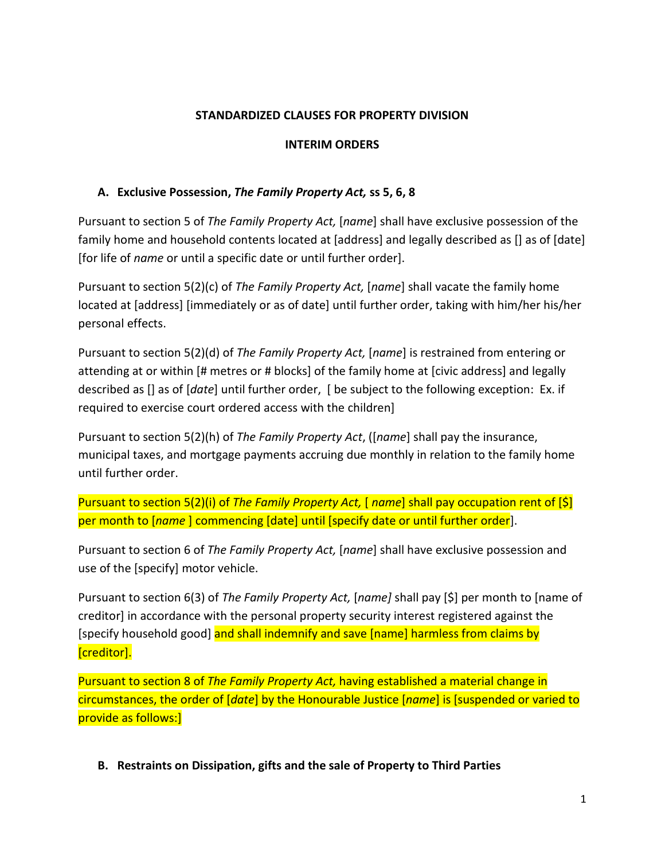#### **STANDARDIZED CLAUSES FOR PROPERTY DIVISION**

#### **INTERIM ORDERS**

### **A. Exclusive Possession,** *The Family Property Act,* **ss 5, 6, 8**

Pursuant to section 5 of *The Family Property Act,* [*name*] shall have exclusive possession of the family home and household contents located at [address] and legally described as [] as of [date] [for life of *name* or until a specific date or until further order].

Pursuant to section 5(2)(c) of *The Family Property Act,* [*name*] shall vacate the family home located at [address] [immediately or as of date] until further order, taking with him/her his/her personal effects.

Pursuant to section 5(2)(d) of *The Family Property Act,* [*name*] is restrained from entering or attending at or within [# metres or # blocks] of the family home at [civic address] and legally described as [] as of [*date*] until further order, [ be subject to the following exception: Ex. if required to exercise court ordered access with the children]

Pursuant to section 5(2)(h) of *The Family Property Act*, ([*name*] shall pay the insurance, municipal taxes, and mortgage payments accruing due monthly in relation to the family home until further order.

Pursuant to section 5(2)(i) of *The Family Property Act,* [ *name*] shall pay occupation rent of [\$] per month to [*name* ] commencing [date] until [specify date or until further order].

Pursuant to section 6 of *The Family Property Act,* [*name*] shall have exclusive possession and use of the [specify] motor vehicle.

Pursuant to section 6(3) of *The Family Property Act,* [*name]* shall pay [\$] per month to [name of creditor] in accordance with the personal property security interest registered against the [specify household good] and shall indemnify and save [name] harmless from claims by [creditor].

Pursuant to section 8 of *The Family Property Act,* having established a material change in circumstances, the order of [*date*] by the Honourable Justice [*name*] is [suspended or varied to provide as follows:]

**B. Restraints on Dissipation, gifts and the sale of Property to Third Parties**